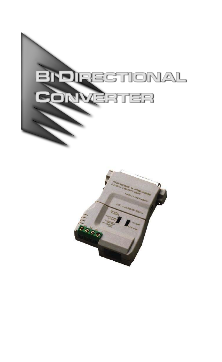

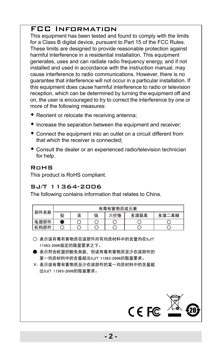## FCC Information

This equipment has been tested and found to comply with the limits for a Class B digital device, pursuant to Part 15 of the FCC Rules. These limits are designed to provide reasonable protection against harmful interference in a residential installation. This equipment generates, uses and can radiate radio frequency energy, and if not installed and used in accordance with the instruction manual, may cause interference to radio communications. However, there is no guarantee that interference will not occur in a particular installation. If this equipment does cause harmful interference to radio or television reception, which can be determined by turning the equipment off and on, the user is encouraged to try to correct the interference by one or more of the following measures:

- Reorient or relocate the receiving antenna;
- $\bullet$  Increase the separation between the equipment and receiver;
- Connect the equipment into an outlet on a circuit different from that which the receiver is connected;
- Consult the dealer or an experienced radio/television technician for help.

#### RoHS

This product is RoHS compliant.

#### SJ/T 11364-2006

The following contains information that relates to China.

| 部件名称 | 有毒有害物质或元素 |   |   |     |      |       |
|------|-----------|---|---|-----|------|-------|
|      | 铅         | 汞 | 镉 | 六价铬 | 多溴联苯 | 多溴二苯醚 |
| 电器部件 |           |   |   |     |      |       |
| 机构部件 |           |   |   |     |      |       |

<sup>○:</sup> 表示该有毒有害物质在该部件所有均质材料中的含量均在SJ/T 11363-2006规定的限量要求之下。

- ●: 表示符合欧盟的豁免条款, 但该有毒有害物质至少在该部件的 某一均质材料中的含量超出SJ/T 11363-2006的限量要求。
- X: 表示该有毒有害物质至少在该部件的某一均质材料中的含量超 出SJ/T 11363-2006的限量要求。

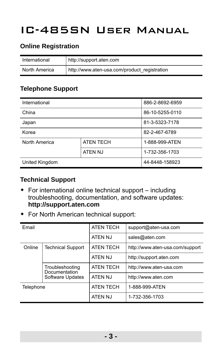# IC-485SN User Manual

#### **Online Registration**

| International | http://support.aten.com                      |
|---------------|----------------------------------------------|
| North America | http://www.aten-usa.com/product registration |

## **Telephone Support**

| International  | 886-2-8692-6959  |                |
|----------------|------------------|----------------|
| China          | 86-10-5255-0110  |                |
| Japan          | 81-3-5323-7178   |                |
| Korea          | 82-2-467-6789    |                |
| North America  | <b>ATEN TECH</b> | 1-888-999-ATEN |
|                | ATEN NJ          | 1-732-356-1703 |
| United Kingdom | 44-8448-158923   |                |

#### **Technical Support**

- For international online technical support including troubleshooting, documentation, and software updates: **http://support.aten.com**
- For North American technical support:

| Fmail     |                                         | <b>ATEN TECH</b> | support@aten-usa.com            |  |
|-----------|-----------------------------------------|------------------|---------------------------------|--|
|           |                                         | ATEN NJ          | sales@aten.com                  |  |
| Online    | <b>Technical Support</b>                | <b>ATEN TECH</b> | http://www.aten-usa.com/support |  |
|           |                                         | ATEN NJ          | http://support.aten.com         |  |
|           | Troubleshooting<br><b>Documentation</b> | <b>ATEN TECH</b> | http://www.aten-usa.com         |  |
|           | Software Updates                        | ATEN NJ          | http://www.aten.com             |  |
| Telephone |                                         | <b>ATEN TECH</b> | 1-888-999-ATEN                  |  |
|           |                                         | ATEN NJ          | 1-732-356-1703                  |  |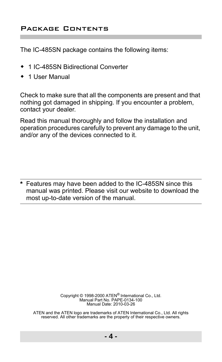#### Package Contents

The IC-485SN package contains the following items:

- ◆ 1 IC-485SN Bidirectional Converter
- ◆ 1 User Manual

Check to make sure that all the components are present and that nothing got damaged in shipping. If you encounter a problem, contact your dealer.

Read this manual thoroughly and follow the installation and operation procedures carefully to prevent any damage to the unit, and/or any of the devices connected to it.

**\*** Features may have been added to the IC-485SN since this manual was printed. Please visit our website to download the most up-to-date version of the manual.

> Copyright © 1998-2000 ATEN® International Co., Ltd. Manual Part No. PAPE-0134-100 Manual Date: 2010-03-26

ATEN and the ATEN logo are trademarks of ATEN International Co., Ltd. All rights reserved. All other trademarks are the property of their respective owners.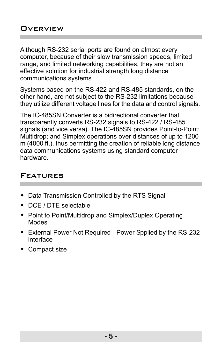Although RS-232 serial ports are found on almost every computer, because of their slow transmission speeds, limited range, and limited networking capabilities, they are not an effective solution for industrial strength long distance communications systems.

Systems based on the RS-422 and RS-485 standards, on the other hand, are not subject to the RS-232 limitations because they utilize different voltage lines for the data and control signals.

The IC-485SN Converter is a bidirectional converter that transparently converts RS-232 signals to RS-422 / RS-485 signals (and vice versa). The IC-485SN provides Point-to-Point; Multidrop; and Simplex operations over distances of up to 1200 m (4000 ft.), thus permitting the creation of reliable long distance data communications systems using standard computer hardware.

#### Features

- Data Transmission Controlled by the RTS Signal
- DCE / DTE selectable
- Point to Point/Multidrop and Simplex/Duplex Operating **Modes**
- External Power Not Required Power Spplied by the RS-232 interface
- Compact size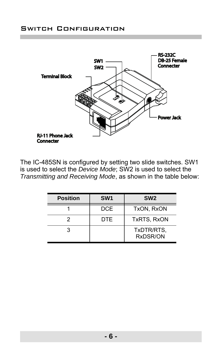

The IC-485SN is configured by setting two slide switches. SW1 is used to select the *Device Mode*; SW2 is used to select the *Transmitting and Receiving Mode*, as shown in the table below:

| <b>Position</b> | SW <sub>1</sub> | SW <sub>2</sub>        |
|-----------------|-----------------|------------------------|
|                 | <b>DCE</b>      | TxON, RxON             |
| 2               | DTE             | TxRTS, RxON            |
| ว               |                 | TxDTR/RTS.<br>RxDSR/ON |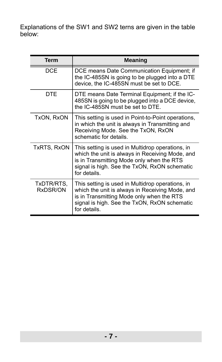Explanations of the SW1 and SW2 terns are given in the table below:

| <b>Term</b>            | <b>Meaning</b>                                                                                                                                                                                                   |
|------------------------|------------------------------------------------------------------------------------------------------------------------------------------------------------------------------------------------------------------|
| <b>DCF</b>             | DCE means Date Communication Equipment; if<br>the IC-485SN is going to be plugged into a DTE<br>device, the IC-485SN must be set to DCE.                                                                         |
| DTF                    | DTE means Date Terminal Equipment; if the IC-<br>485SN is going to be plugged into a DCE device,<br>the IC-485SN must be set to DTE.                                                                             |
| TxON, RxON             | This setting is used in Point-to-Point operations,<br>in which the unit is always in Transmitting and<br>Receiving Mode. See the TxON, RxON<br>schematic for details.                                            |
| TxRTS, RxON            | This setting is used in Multidrop operations, in<br>which the unit is always in Receiving Mode, and<br>is in Transmitting Mode only when the RTS<br>signal is high. See the TxON, RxON schematic<br>for details. |
| TxDTR/RTS,<br>RxDSR/ON | This setting is used in Multidrop operations, in<br>which the unit is always in Receiving Mode, and<br>is in Transmitting Mode only when the RTS<br>signal is high. See the TxON, RxON schematic<br>for details. |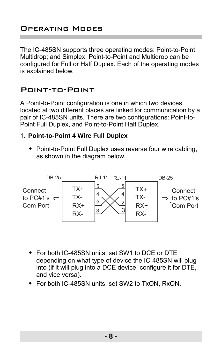The IC-485SN supports three operating modes: Point-to-Point; Multidrop; and Simplex. Point-to-Point and Multidrop can be configured for Full or Half Duplex. Each of the operating modes is explained below.

## Point-to-Point

A Point-to-Point configuration is one in which two devices, located at two different places are linked for communication by a pair of IC-485SN units. There are two configurations: Point-to-Point Full Duplex, and Point-to-Point Half Duplex.

#### 1. **Point-to-Point 4 Wire Full Duplex**

 Point-to-Point Full Duplex uses reverse four wire cabling, as shown in the diagram below.



- For both IC-485SN units, set SW1 to DCE or DTE depending on what type of device the IC-485SN will plug into (if it will plug into a DCE device, configure it for DTE, and vice versa).
- For both IC-485SN units, set SW2 to TxON, RxON.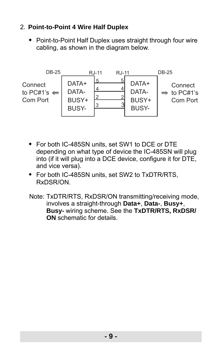# 2. **Point-to-Point 4 Wire Half Duplex**

◆ Point-to-Point Half Duplex uses straight through four wire cabling, as shown in the diagram below.



- For both IC-485SN units, set SW1 to DCE or DTE depending on what type of device the IC-485SN will plug into (if it will plug into a DCE device, configure it for DTE, and vice versa).
- For both IC-485SN units, set SW2 to TxDTR/RTS, RxDSR/ON.
- Note: TxDTR/RTS, RxDSR/ON transmitting/receiving mode, involves a straight-through **Data+**, **Data-**, **Busy+**, **Busy-** wiring scheme. See the **TxDTR/RTS, RxDSR/ ON** schematic for details.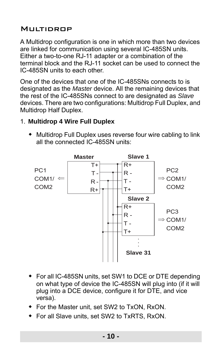# **MIIITIDROP**

A Multidrop configuration is one in which more than two devices are linked for communication using several IC-485SN units. Either a two-to-one RJ-11 adapter or a combination of the terminal block and the RJ-11 socket can be used to connect the IC-485SN units to each other.

One of the devices that one of the IC-485SNs connects to is designated as the *Master* device. All the remaining devices that the rest of the IC-485SNs connect to are designated as *Slave* devices. There are two configurations: Multidrop Full Duplex, and Multidrop Half Duplex.

## 1. **Multidrop 4 Wire Full Duplex**

 Multidrop Full Duplex uses reverse four wire cabling to link all the connected IC-485SN units:



- For all IC-485SN units, set SW1 to DCE or DTE depending on what type of device the IC-485SN will plug into (if it will plug into a DCE device, configure it for DTE, and vice versa).
- For the Master unit, set SW2 to TxON, RxON.
- For all Slave units, set SW2 to TxRTS, RxON.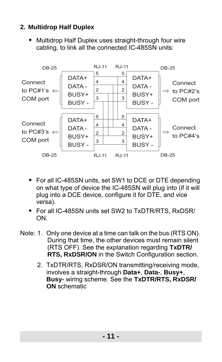# **2. Multidrop Half Duplex**

 Multidrop Half Duplex uses straight-through four wire cabling, to link all the connected IC-485SN units:



- For all IC-485SN units, set SW1 to DCE or DTE depending on what type of device the IC-485SN will plug into (if it will plug into a DCE device, configure it for DTE, and vice versa).
- For all IC-485SN units set SW2 to TxDTR/RTS, RxDSR/ ON.
- Note: 1. Only one device at a time can talk on the bus (RTS ON). During that time, the other devices must remain silent (RTS OFF). See the explanation regarding **TxDTR/ RTS, RxDSR/ON** in the Switch Configuration section.
	- 2. TxDTR/RTS, RxDSR/ON transmitting/receiving mode, involves a straight-through **Data+**, **Data-**, **Busy+**, **Busy-** wiring scheme. See the **TxDTR/RTS, RxDSR/ ON** schematic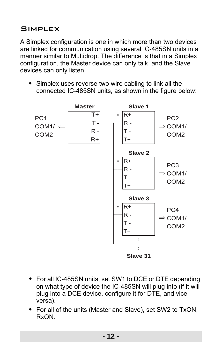# SIMPLEX

A Simplex configuration is one in which more than two devices are linked for communication using several IC-485SN units in a manner similar to Multidrop. The difference is that in a Simplex configuration, the Master device can only talk, and the Slave devices can only listen.

 Simplex uses reverse two wire cabling to link all the connected IC-485SN units, as shown in the figure below:



- For all IC-485SN units, set SW1 to DCE or DTE depending on what type of device the IC-485SN will plug into (if it will plug into a DCE device, configure it for DTE, and vice versa).
- For all of the units (Master and Slave), set SW2 to TxON, RxON.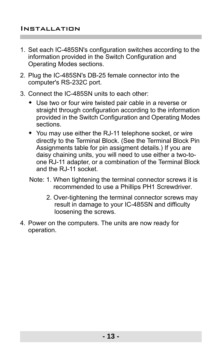- 1. Set each IC-485SN's configuration switches according to the information provided in the Switch Configuration and Operating Modes sections.
- 2. Plug the IC-485SN's DB-25 female connector into the computer's RS-232C port.
- 3. Connect the IC-485SN units to each other:
	- Use two or four wire twisted pair cable in a reverse or straight through configuration according to the information provided in the Switch Configuration and Operating Modes sections.
	- You may use either the RJ-11 telephone socket, or wire directly to the Terminal Block. (See the Terminal Block Pin Assignments table for pin assigment details.) If you are daisy chaining units, you will need to use either a two-toone RJ-11 adapter, or a combination of the Terminal Block and the RJ-11 socket.
	- Note: 1. When tightening the terminal connector screws it is recommended to use a Phillips PH1 Screwdriver.
		- 2. Over-tightening the terminal connector screws may result in damage to your IC-485SN and difficulty loosening the screws.
- 4. Power on the computers. The units are now ready for operation.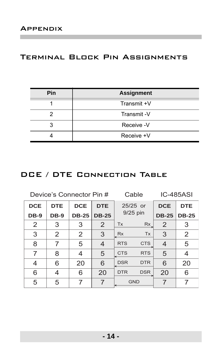## Terminal Block Pin Assignments

| Pin | <b>Assignment</b> |  |  |
|-----|-------------------|--|--|
|     | Transmit +V       |  |  |
|     | Transmit-V        |  |  |
|     | Receive -V        |  |  |
|     | Receive +V        |  |  |

## DCE / DTE Connection Table

Device's Connector Pin # Cable IC-485ASI

| <b>DCE</b> | <b>DTE</b>  | <b>DCE</b>   | <b>DTE</b>     | 25/25 or<br>9/25 pin |            | <b>DCE</b>     | <b>DTE</b>   |
|------------|-------------|--------------|----------------|----------------------|------------|----------------|--------------|
| DB-9       | <b>DB-9</b> | <b>DB-25</b> | <b>DB-25</b>   |                      |            | <b>DB-25</b>   | <b>DB-25</b> |
| 2          | 3           | 3            | $\overline{2}$ | <b>Tx</b>            | Rx         | $\overline{2}$ | 3            |
| 3          | 2           | 2            | 3              | <b>Rx</b>            | <b>Tx</b>  | 3              | 2            |
| 8          | 7           | 5            | 4              | <b>RTS</b>           | <b>CTS</b> | 4              | 5            |
| 7          | 8           | 4            | 5              | <b>CTS</b>           | <b>RTS</b> | 5              |              |
| 4          | 6           | 20           | 6              | <b>DSR</b>           | <b>DTR</b> | 6              | 20           |
| 6          | 4           | 6            | 20             | <b>DTR</b>           | <b>DSR</b> | 20             | 6            |
| 5          | 5           |              |                | <b>GND</b>           |            |                |              |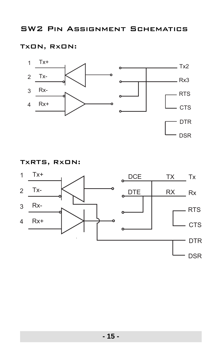## TxON, RxON:



#### TxRTS, RxON:

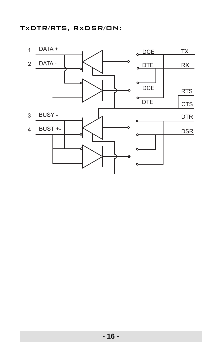## TxDTR/RTS, RxDSR/ON:

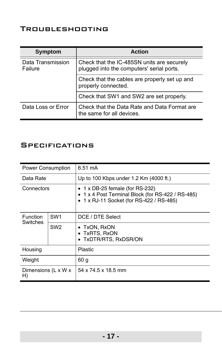# Troubleshooting

| Symptom                      | <b>Action</b>                                                                           |
|------------------------------|-----------------------------------------------------------------------------------------|
| Data Transmission<br>Failure | Check that the IC-485SN units are securely<br>plugged into the computers' serial ports. |
|                              | Check that the cables are properly set up and<br>properly connected.                    |
|                              | Check that SW1 and SW2 are set properly.                                                |
| Data Loss or Error           | Check that the Data Rate and Data Format are<br>the same for all devices.               |

# **SPECIFICATIONS**

| <b>Power Consumption</b>  |                 | 6.51 mA                                                                                                                                |  |  |
|---------------------------|-----------------|----------------------------------------------------------------------------------------------------------------------------------------|--|--|
| Data Rate                 |                 | Up to 100 Kbps under 1.2 Km (4000 ft.)                                                                                                 |  |  |
| Connectors                |                 | $\bullet$ 1 x DB-25 female (for RS-232)<br>1 x 4 Post Terminal Block (for RS-422 / RS-485)<br>• 1 x RJ-11 Socket (for RS-422 / RS-485) |  |  |
| Function<br>Switches      | SW <sub>1</sub> | DCE / DTE Select                                                                                                                       |  |  |
|                           | SW <sub>2</sub> | • TxON, RxON<br>• TxRTS, RxON<br>• TxDTR/RTS, RxDSR/ON                                                                                 |  |  |
| Housing                   |                 | Plastic                                                                                                                                |  |  |
| Weight                    |                 | 60 <sub>g</sub>                                                                                                                        |  |  |
| Dimensions (L x W x<br>H) |                 | 54 x 74.5 x 18.5 mm                                                                                                                    |  |  |